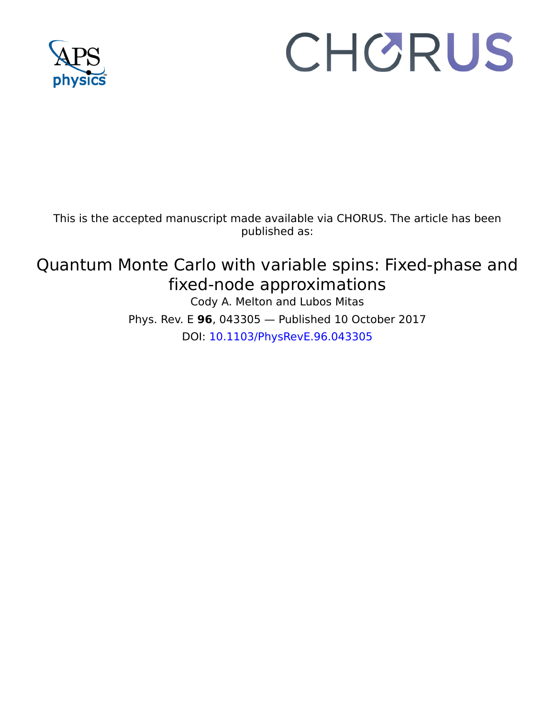

# CHORUS

This is the accepted manuscript made available via CHORUS. The article has been published as:

# Quantum Monte Carlo with variable spins: Fixed-phase and fixed-node approximations

Cody A. Melton and Lubos Mitas Phys. Rev. E **96**, 043305 — Published 10 October 2017 DOI: [10.1103/PhysRevE.96.043305](http://dx.doi.org/10.1103/PhysRevE.96.043305)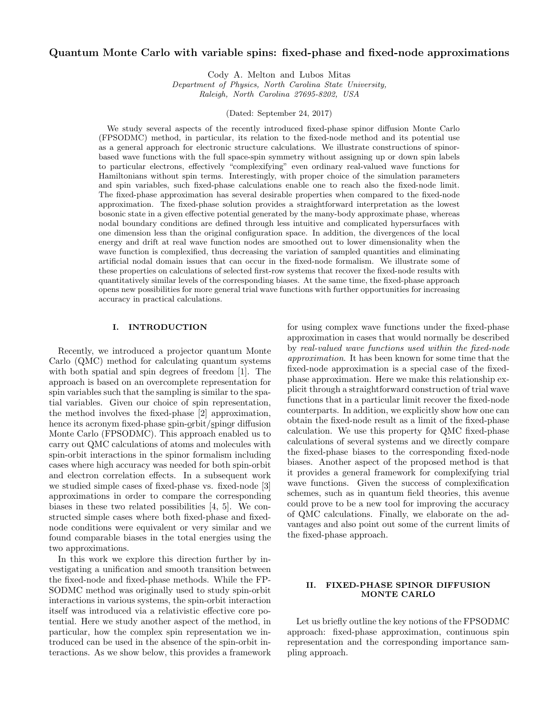# Quantum Monte Carlo with variable spins: fixed-phase and fixed-node approximations

Cody A. Melton and Lubos Mitas

Department of Physics, North Carolina State University, Raleigh, North Carolina 27695-8202, USA

(Dated: September 24, 2017)

We study several aspects of the recently introduced fixed-phase spinor diffusion Monte Carlo (FPSODMC) method, in particular, its relation to the fixed-node method and its potential use as a general approach for electronic structure calculations. We illustrate constructions of spinorbased wave functions with the full space-spin symmetry without assigning up or down spin labels to particular electrons, effectively "complexifying" even ordinary real-valued wave functions for Hamiltonians without spin terms. Interestingly, with proper choice of the simulation parameters and spin variables, such fixed-phase calculations enable one to reach also the fixed-node limit. The fixed-phase approximation has several desirable properties when compared to the fixed-node approximation. The fixed-phase solution provides a straightforward interpretation as the lowest bosonic state in a given effective potential generated by the many-body approximate phase, whereas nodal boundary conditions are defined through less intuitive and complicated hypersurfaces with one dimension less than the original configuration space. In addition, the divergences of the local energy and drift at real wave function nodes are smoothed out to lower dimensionality when the wave function is complexified, thus decreasing the variation of sampled quantities and eliminating artificial nodal domain issues that can occur in the fixed-node formalism. We illustrate some of these properties on calculations of selected first-row systems that recover the fixed-node results with quantitatively similar levels of the corresponding biases. At the same time, the fixed-phase approach opens new possibilities for more general trial wave functions with further opportunities for increasing accuracy in practical calculations.

## I. INTRODUCTION

Recently, we introduced a projector quantum Monte Carlo (QMC) method for calculating quantum systems with both spatial and spin degrees of freedom [1]. The approach is based on an overcomplete representation for spin variables such that the sampling is similar to the spatial variables. Given our choice of spin representation, the method involves the fixed-phase [2] approximation, hence its acronym fixed-phase spin-orbit/spinor diffusion Monte Carlo (FPSODMC). This approach enabled us to carry out QMC calculations of atoms and molecules with spin-orbit interactions in the spinor formalism including cases where high accuracy was needed for both spin-orbit and electron correlation effects. In a subsequent work we studied simple cases of fixed-phase vs. fixed-node [3] approximations in order to compare the corresponding biases in these two related possibilities [4, 5]. We constructed simple cases where both fixed-phase and fixednode conditions were equivalent or very similar and we found comparable biases in the total energies using the two approximations.

In this work we explore this direction further by investigating a unification and smooth transition between the fixed-node and fixed-phase methods. While the FP-SODMC method was originally used to study spin-orbit interactions in various systems, the spin-orbit interaction itself was introduced via a relativistic effective core potential. Here we study another aspect of the method, in particular, how the complex spin representation we introduced can be used in the absence of the spin-orbit interactions. As we show below, this provides a framework

for using complex wave functions under the fixed-phase approximation in cases that would normally be described by real-valued wave functions used within the fixed-node approximation. It has been known for some time that the fixed-node approximation is a special case of the fixedphase approximation. Here we make this relationship explicit through a straightforward construction of trial wave functions that in a particular limit recover the fixed-node counterparts. In addition, we explicitly show how one can obtain the fixed-node result as a limit of the fixed-phase calculation. We use this property for QMC fixed-phase calculations of several systems and we directly compare the fixed-phase biases to the corresponding fixed-node biases. Another aspect of the proposed method is that it provides a general framework for complexifying trial wave functions. Given the success of complexification schemes, such as in quantum field theories, this avenue could prove to be a new tool for improving the accuracy of QMC calculations. Finally, we elaborate on the advantages and also point out some of the current limits of the fixed-phase approach.

# II. FIXED-PHASE SPINOR DIFFUSION MONTE CARLO

Let us briefly outline the key notions of the FPSODMC approach: fixed-phase approximation, continuous spin representation and the corresponding importance sampling approach.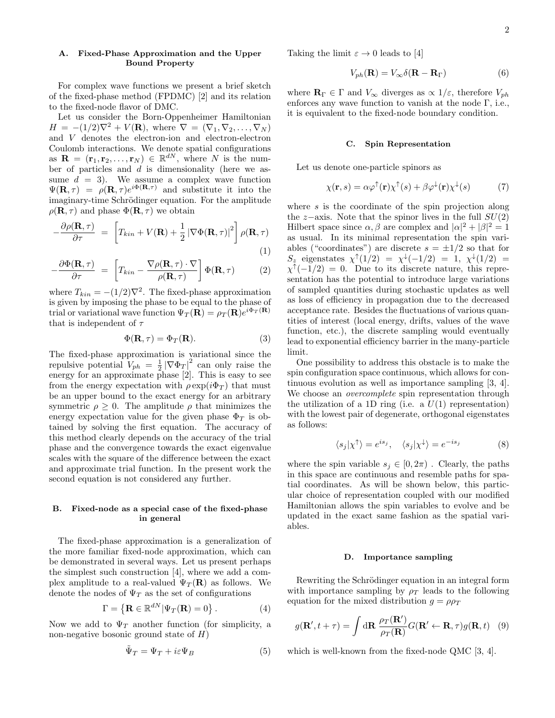# A. Fixed-Phase Approximation and the Upper Bound Property

For complex wave functions we present a brief sketch of the fixed-phase method (FPDMC) [2] and its relation to the fixed-node flavor of DMC.

Let us consider the Born-Oppenheimer Hamiltonian  $H = -(1/2)\nabla^2 + V(\mathbf{R})$ , where  $\nabla = (\nabla_1, \nabla_2, \dots, \nabla_N)$ and  $V$  denotes the electron-ion and electron-electron Coulomb interactions. We denote spatial configurations as  $\mathbf{R} = (\mathbf{r}_1, \mathbf{r}_2, \dots, \mathbf{r}_N) \in \mathbb{R}^{dN}$ , where N is the number of particles and  $d$  is dimensionality (here we assume  $d = 3$ . We assume a complex wave function  $\Psi(\mathbf{R},\tau) = \rho(\mathbf{R},\tau)e^{i\Phi(\mathbf{R},\tau)}$  and substitute it into the imaginary-time Schrödinger equation. For the amplitude  $\rho(\mathbf{R}, \tau)$  and phase  $\Phi(\mathbf{R}, \tau)$  we obtain

$$
-\frac{\partial \rho(\mathbf{R}, \tau)}{\partial \tau} = \left[ T_{kin} + V(\mathbf{R}) + \frac{1}{2} |\nabla \Phi(\mathbf{R}, \tau)|^2 \right] \rho(\mathbf{R}, \tau)
$$
\n(1)

$$
-\frac{\partial \Phi(\mathbf{R},\tau)}{\partial \tau} = \left[T_{kin} - \frac{\nabla \rho(\mathbf{R},\tau) \cdot \nabla}{\rho(\mathbf{R},\tau)}\right] \Phi(\mathbf{R},\tau) \tag{2}
$$

where  $T_{kin} = -(1/2)\nabla^2$ . The fixed-phase approximation is given by imposing the phase to be equal to the phase of trial or variational wave function  $\Psi_T(\mathbf{R}) = \rho_T(\mathbf{R})e^{i\Phi_T(\mathbf{R})}$ that is independent of  $\tau$ 

$$
\Phi(\mathbf{R}, \tau) = \Phi_T(\mathbf{R}).\tag{3}
$$

The fixed-phase approximation is variational since the repulsive potential  $V_{ph} = \frac{1}{2} |\nabla \Phi_T|^2$  can only raise the energy for an approximate phase [2]. This is easy to see from the energy expectation with  $\rho \exp(i\Phi_T)$  that must be an upper bound to the exact energy for an arbitrary symmetric  $\rho > 0$ . The amplitude  $\rho$  that minimizes the energy expectation value for the given phase  $\Phi_T$  is obtained by solving the first equation. The accuracy of this method clearly depends on the accuracy of the trial phase and the convergence towards the exact eigenvalue scales with the square of the difference between the exact and approximate trial function. In the present work the second equation is not considered any further.

#### B. Fixed-node as a special case of the fixed-phase in general

The fixed-phase approximation is a generalization of the more familiar fixed-node approximation, which can be demonstrated in several ways. Let us present perhaps the simplest such construction [4], where we add a complex amplitude to a real-valued  $\Psi_T(\mathbf{R})$  as follows. We denote the nodes of  $\Psi_T$  as the set of configurations

$$
\Gamma = \left\{ \mathbf{R} \in \mathbb{R}^{dN} | \Psi_T(\mathbf{R}) = 0 \right\}.
$$
 (4)

Now we add to  $\Psi_T$  another function (for simplicity, a non-negative bosonic ground state of  $H$ )

$$
\tilde{\Psi}_T = \Psi_T + i\varepsilon \Psi_B \tag{5}
$$

Taking the limit  $\varepsilon \to 0$  leads to [4]

$$
V_{ph}(\mathbf{R}) = V_{\infty} \delta(\mathbf{R} - \mathbf{R}_{\Gamma})
$$
\n(6)

where  $\mathbf{R}_{\Gamma} \in \Gamma$  and  $V_{\infty}$  diverges as  $\propto 1/\varepsilon$ , therefore  $V_{ph}$ enforces any wave function to vanish at the node  $\Gamma$ , i.e., it is equivalent to the fixed-node boundary condition.

## C. Spin Representation

Let us denote one-particle spinors as

$$
\chi(\mathbf{r},s) = \alpha \varphi^{\uparrow}(\mathbf{r}) \chi^{\uparrow}(s) + \beta \varphi^{\downarrow}(\mathbf{r}) \chi^{\downarrow}(s) \tag{7}
$$

where  $s$  is the coordinate of the spin projection along the z−axis. Note that the spinor lives in the full  $SU(2)$ Hilbert space since  $\alpha, \beta$  are complex and  $|\alpha|^2 + |\beta|^2 = 1$ as usual. In its minimal representation the spin variables ("coordinates") are discrete  $s = \pm 1/2$  so that for  $S_z$  eigenstates  $\chi^{\uparrow}(1/2) = \chi^{\downarrow}(-1/2) = 1, \chi^{\downarrow}(1/2) =$  $\chi^{\uparrow}(-1/2) = 0$ . Due to its discrete nature, this representation has the potential to introduce large variations of sampled quantities during stochastic updates as well as loss of efficiency in propagation due to the decreased acceptance rate. Besides the fluctuations of various quantities of interest (local energy, drifts, values of the wave function, etc.), the discrete sampling would eventually lead to exponential efficiency barrier in the many-particle limit.

One possibility to address this obstacle is to make the spin configuration space continuous, which allows for continuous evolution as well as importance sampling [3, 4]. We choose an overcomplete spin representation through the utilization of a 1D ring (i.e. a  $U(1)$  representation) with the lowest pair of degenerate, orthogonal eigenstates as follows:

$$
\langle s_j | \chi^{\uparrow} \rangle = e^{is_j}, \quad \langle s_j | \chi^{\downarrow} \rangle = e^{-is_j} \tag{8}
$$

where the spin variable  $s_j \in [0, 2\pi)$ . Clearly, the paths in this space are continuous and resemble paths for spatial coordinates. As will be shown below, this particular choice of representation coupled with our modified Hamiltonian allows the spin variables to evolve and be updated in the exact same fashion as the spatial variables.

#### D. Importance sampling

Rewriting the Schrödinger equation in an integral form with importance sampling by  $\rho_T$  leads to the following equation for the mixed distribution  $g = \rho \rho_T$ 

$$
g(\mathbf{R}', t + \tau) = \int d\mathbf{R} \frac{\rho_T(\mathbf{R}')}{\rho_T(\mathbf{R})} G(\mathbf{R}' \leftarrow \mathbf{R}, \tau) g(\mathbf{R}, t) \tag{9}
$$

which is well-known from the fixed-node QMC [3, 4].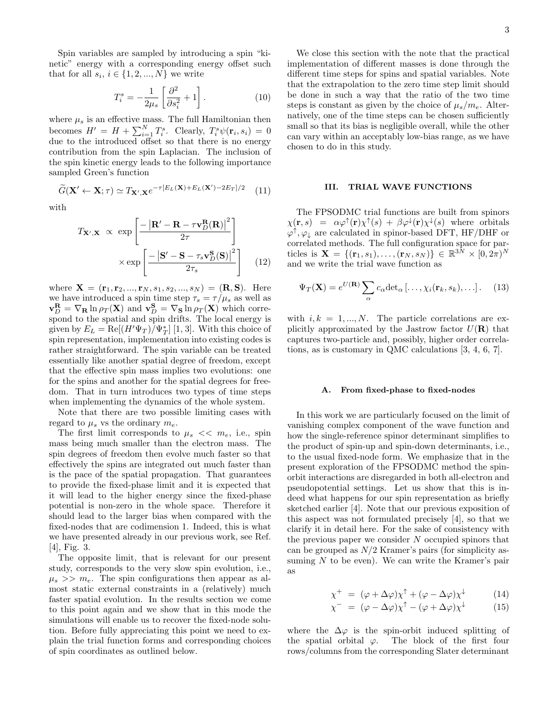Spin variables are sampled by introducing a spin "kinetic" energy with a corresponding energy offset such that for all  $s_i, i \in \{1, 2, ..., N\}$  we write

$$
T_i^s = -\frac{1}{2\mu_s} \left[ \frac{\partial^2}{\partial s_i^2} + 1 \right]. \tag{10}
$$

where  $\mu_s$  is an effective mass. The full Hamiltonian then becomes  $H' = H + \sum_{i=1}^{N} T_i^s$ . Clearly,  $T_i^s \psi(\mathbf{r}_i, s_i) = 0$ due to the introduced offset so that there is no energy contribution from the spin Laplacian. The inclusion of the spin kinetic energy leads to the following importance sampled Green's function

$$
\widetilde{G}(\mathbf{X}' \leftarrow \mathbf{X}; \tau) \simeq T_{\mathbf{X}', \mathbf{X}} e^{-\tau [E_L(\mathbf{X}) + E_L(\mathbf{X}') - 2E_T]/2} \tag{11}
$$

with

$$
T_{\mathbf{X}',\mathbf{X}} \propto \exp\left[\frac{-\left|\mathbf{R}' - \mathbf{R} - \tau \mathbf{v}_D^{\mathbf{R}}(\mathbf{R})\right|^2}{2\tau}\right] \times \exp\left[\frac{-\left|\mathbf{S}' - \mathbf{S} - \tau_s \mathbf{v}_D^{\mathbf{S}}(\mathbf{S})\right|^2}{2\tau_s}\right] \quad (12)
$$

where  $X = (\mathbf{r}_1, \mathbf{r}_2, ..., \mathbf{r}_N, s_1, s_2, ..., s_N) = (\mathbf{R}, \mathbf{S})$ . Here we have introduced a spin time step  $\tau_s = \tau / \mu_s$  as well as  $\mathbf{v}_D^{\mathbf{R}} = \nabla_{\mathbf{R}} \ln \rho_T(\mathbf{X})$  and  $\mathbf{v}_D^{\mathbf{S}} = \nabla_{\mathbf{S}} \ln \rho_T(\mathbf{X})$  which correspond to the spatial and spin drifts. The local energy is given by  $E_L = \text{Re}[(H'\Psi_T)/\Psi_T^*]$  [1, 3]. With this choice of spin representation, implementation into existing codes is rather straightforward. The spin variable can be treated essentially like another spatial degree of freedom, except that the effective spin mass implies two evolutions: one for the spins and another for the spatial degrees for freedom. That in turn introduces two types of time steps when implementing the dynamics of the whole system.

Note that there are two possible limiting cases with regard to  $\mu_s$  vs the ordinary  $m_e$ .

The first limit corresponds to  $\mu_s \ll m_e$ , i.e., spin mass being much smaller than the electron mass. The spin degrees of freedom then evolve much faster so that effectively the spins are integrated out much faster than is the pace of the spatial propagation. That guarantees to provide the fixed-phase limit and it is expected that it will lead to the higher energy since the fixed-phase potential is non-zero in the whole space. Therefore it should lead to the larger bias when compared with the fixed-nodes that are codimension 1. Indeed, this is what we have presented already in our previous work, see Ref. [4], Fig. 3.

The opposite limit, that is relevant for our present study, corresponds to the very slow spin evolution, i.e.,  $\mu_s \gg m_e$ . The spin configurations then appear as almost static external constraints in a (relatively) much faster spatial evolution. In the results section we come to this point again and we show that in this mode the simulations will enable us to recover the fixed-node solution. Before fully appreciating this point we need to explain the trial function forms and corresponding choices of spin coordinates as outlined below.

We close this section with the note that the practical implementation of different masses is done through the different time steps for spins and spatial variables. Note that the extrapolation to the zero time step limit should be done in such a way that the ratio of the two time steps is constant as given by the choice of  $\mu_s/m_e$ . Alternatively, one of the time steps can be chosen sufficiently small so that its bias is negligible overall, while the other can vary within an acceptably low-bias range, as we have chosen to do in this study.

#### III. TRIAL WAVE FUNCTIONS

The FPSODMC trial functions are built from spinors  $\chi(\mathbf{r},s) = \alpha \varphi^{\uparrow}(\mathbf{r}) \chi^{\uparrow}(s) + \beta \varphi^{\downarrow}(\mathbf{r}) \chi^{\downarrow}(s)$  where orbitals  $\varphi^{\dagger}, \varphi_{\downarrow}$  are calculated in spinor-based DFT, HF/DHF or correlated methods. The full configuration space for particles is  $\mathbf{X} = \{(\mathbf{r}_1, s_1), \dots, (\mathbf{r}_N, s_N)\} \in \mathbb{R}^{3N} \times [0, 2\pi)^N$ and we write the trial wave function as

$$
\Psi_T(\mathbf{X}) = e^{U(\mathbf{R})} \sum_{\alpha} c_{\alpha} \det_{\alpha} [\dots, \chi_i(\mathbf{r}_k, s_k), \dots]. \tag{13}
$$

with  $i, k = 1, ..., N$ . The particle correlations are explicitly approximated by the Jastrow factor  $U(\mathbf{R})$  that captures two-particle and, possibly, higher order correlations, as is customary in QMC calculations [3, 4, 6, 7].

#### A. From fixed-phase to fixed-nodes

In this work we are particularly focused on the limit of vanishing complex component of the wave function and how the single-reference spinor determinant simplifies to the product of spin-up and spin-down determinants, i.e., to the usual fixed-node form. We emphasize that in the present exploration of the FPSODMC method the spinorbit interactions are disregarded in both all-electron and pseudopotential settings. Let us show that this is indeed what happens for our spin representation as briefly sketched earlier [4]. Note that our previous exposition of this aspect was not formulated precisely [4], so that we clarify it in detail here. For the sake of consistency with the previous paper we consider  $N$  occupied spinors that can be grouped as  $N/2$  Kramer's pairs (for simplicity assuming  $N$  to be even). We can write the Kramer's pair as

$$
\chi^{+} = (\varphi + \Delta \varphi) \chi^{\uparrow} + (\varphi - \Delta \varphi) \chi^{\downarrow}
$$
 (14)

$$
\chi^- = (\varphi - \Delta \varphi) \chi^{\uparrow} - (\varphi + \Delta \varphi) \chi^{\downarrow}
$$
 (15)

where the  $\Delta\varphi$  is the spin-orbit induced splitting of the spatial orbital  $\varphi$ . The block of the first four rows/columns from the corresponding Slater determinant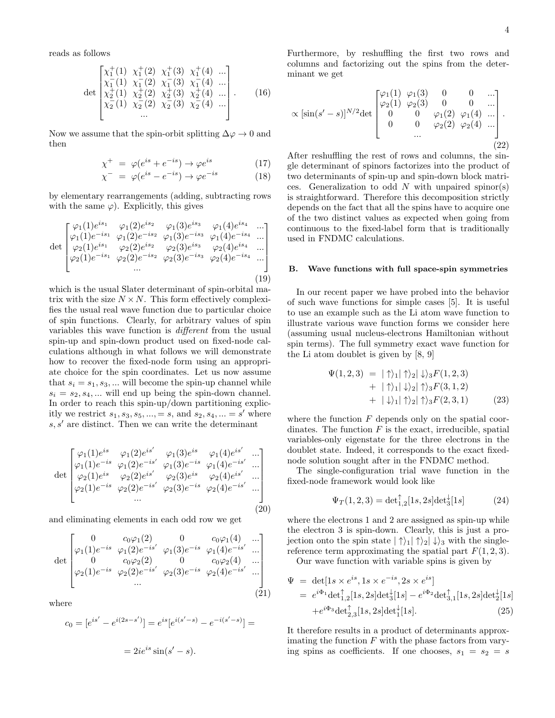reads as follows

$$
\det \begin{bmatrix} \chi_1^+(1) & \chi_1^+(2) & \chi_1^+(3) & \chi_1^+(4) & \dots \\ \chi_1^-(1) & \chi_1^-(2) & \chi_1^-(3) & \chi_1^-(4) & \dots \\ \chi_2^+(1) & \chi_2^+(2) & \chi_2^+(3) & \chi_2^+(4) & \dots \\ \chi_2^-(1) & \chi_2^-(2) & \chi_2^-(3) & \chi_2^-(4) & \dots \end{bmatrix} . \tag{16}
$$

Now we assume that the spin-orbit splitting  $\Delta \varphi \to 0$  and then

$$
\chi^{+} = \varphi(e^{is} + e^{-is}) \to \varphi e^{is} \tag{17}
$$

$$
\chi^- = \varphi(e^{is} - e^{-is}) \to \varphi e^{-is} \tag{18}
$$

by elementary rearrangements (adding, subtracting rows with the same  $\varphi$ ). Explicitly, this gives

$$
\det \begin{bmatrix} \varphi_1(1)e^{is_1} & \varphi_1(2)e^{is_2} & \varphi_1(3)e^{is_3} & \varphi_1(4)e^{is_4} & \cdots \\ \varphi_1(1)e^{-is_1} & \varphi_1(2)e^{-is_2} & \varphi_1(3)e^{-is_3} & \varphi_1(4)e^{-is_4} & \cdots \\ \varphi_2(1)e^{is_1} & \varphi_2(2)e^{is_2} & \varphi_2(3)e^{is_3} & \varphi_2(4)e^{is_4} & \cdots \\ \varphi_2(1)e^{-is_1} & \varphi_2(2)e^{-is_2} & \varphi_2(3)e^{-is_3} & \varphi_2(4)e^{-is_4} & \cdots \\ \cdots & \cdots & \cdots & \cdots & \cdots \end{bmatrix}
$$
\n(19)

which is the usual Slater determinant of spin-orbital matrix with the size  $N \times N$ . This form effectively complexifies the usual real wave function due to particular choice of spin functions. Clearly, for arbitrary values of spin variables this wave function is different from the usual spin-up and spin-down product used on fixed-node calculations although in what follows we will demonstrate how to recover the fixed-node form using an appropriate choice for the spin coordinates. Let us now assume that  $s_i = s_1, s_3, \dots$  will become the spin-up channel while  $s_i = s_2, s_4, \dots$  will end up being the spin-down channel. In order to reach this spin-up/down partitioning explicitly we restrict  $s_1, s_3, s_5, ..., = s$ , and  $s_2, s_4, ... = s'$  where  $s, s'$  are distinct. Then we can write the determinant

$$
\det \begin{bmatrix} \varphi_1(1)e^{is} & \varphi_1(2)e^{is'} & \varphi_1(3)e^{is} & \varphi_1(4)e^{is'} & \dots \\ \varphi_1(1)e^{-is} & \varphi_1(2)e^{-is'} & \varphi_1(3)e^{-is} & \varphi_1(4)e^{-is'} & \dots \\ \varphi_2(1)e^{is} & \varphi_2(2)e^{is'} & \varphi_2(3)e^{is} & \varphi_2(4)e^{is'} & \dots \\ \varphi_2(1)e^{-is} & \varphi_2(2)e^{-is'} & \varphi_2(3)e^{-is} & \varphi_2(4)e^{-is'} & \dots \\ \dots & \dots & \dots & \dots & \dots \end{bmatrix}
$$
\n(20)

and eliminating elements in each odd row we get

$$
\det \begin{bmatrix} 0 & c_0\varphi_1(2) & 0 & c_0\varphi_1(4) & \dots \\ \varphi_1(1)e^{-is} & \varphi_1(2)e^{-is'} & \varphi_1(3)e^{-is} & \varphi_1(4)e^{-is'} & \dots \\ 0 & c_0\varphi_2(2) & 0 & c_0\varphi_2(4) & \dots \\ \varphi_2(1)e^{-is} & \varphi_2(2)e^{-is'} & \varphi_2(3)e^{-is} & \varphi_2(4)e^{-is'} & \dots \\ \dots & \dots & \dots & \dots & \dots \end{bmatrix}
$$
(21)

where

$$
c_0 = [e^{is'} - e^{i(2s - s')}] = e^{is}[e^{i(s' - s)} - e^{-i(s' - s)}] =
$$
  
=  $2ie^{is}\sin(s' - s)$ .

Furthermore, by reshuffling the first two rows and columns and factorizing out the spins from the determinant we get

$$
\propto [\sin(s'-s)]^{N/2} \det \begin{bmatrix} \varphi_1(1) & \varphi_1(3) & 0 & 0 & \dots \\ \varphi_2(1) & \varphi_2(3) & 0 & 0 & \dots \\ 0 & 0 & \varphi_1(2) & \varphi_1(4) & \dots \\ 0 & 0 & \varphi_2(2) & \varphi_2(4) & \dots \\ \dots & \dots & \dots & \dots & \dots \end{bmatrix}.
$$
\n(22)

After reshuffling the rest of rows and columns, the single determinant of spinors factorizes into the product of two determinants of spin-up and spin-down block matrices. Generalization to odd  $N$  with unpaired spinor(s) is straightforward. Therefore this decomposition strictly depends on the fact that all the spins have to acquire one of the two distinct values as expected when going from continuous to the fixed-label form that is traditionally used in FNDMC calculations.

#### B. Wave functions with full space-spin symmetries

In our recent paper we have probed into the behavior of such wave functions for simple cases [5]. It is useful to use an example such as the Li atom wave function to illustrate various wave function forms we consider here (assuming usual nucleus-electrons Hamiltonian without spin terms). The full symmetry exact wave function for the Li atom doublet is given by [8, 9]

$$
\Psi(1,2,3) = |\uparrow\rangle_1 |\uparrow\rangle_2 |\downarrow\rangle_3 F(1,2,3)
$$
  
+ 
$$
|\uparrow\rangle_1 |\downarrow\rangle_2 |\uparrow\rangle_3 F(3,1,2)
$$
  
+ 
$$
|\downarrow\rangle_1 |\uparrow\rangle_2 |\uparrow\rangle_3 F(2,3,1)
$$
 (23)

where the function  $F$  depends only on the spatial coordinates. The function  $F$  is the exact, irreducible, spatial variables-only eigenstate for the three electrons in the doublet state. Indeed, it corresponds to the exact fixednode solution sought after in the FNDMC method.

The single-configuration trial wave function in the fixed-node framework would look like

$$
\Psi_T(1,2,3) = \det_{1,2}^{\uparrow}[1s,2s] \det_{3}^{\downarrow}[1s]
$$
 (24)

is]

where the electrons 1 and 2 are assigned as spin-up while the electron 3 is spin-down. Clearly, this is just a projection onto the spin state  $|\uparrow\rangle_1|\uparrow\rangle_2|\downarrow\rangle_3$  with the singlereference term approximating the spatial part  $F(1, 2, 3)$ .

Our wave function with variable spins is given by −is

is.

$$
\Psi = \det[1s \times e^{is}, 1s \times e^{-is}, 2s \times e^{is}]
$$
  
\n
$$
= e^{i\Phi_1} \det_{1,2}^{\uparrow} [1s, 2s] \det_{3}^{\downarrow} [1s] - e^{i\Phi_2} \det_{3,1}^{\uparrow} [1s, 2s] \det_{2}^{\downarrow} [1s]
$$
  
\n
$$
+ e^{i\Phi_3} \det_{2,3}^{\uparrow} [1s, 2s] \det_{1}^{\downarrow} [1s].
$$
\n(25)

It therefore results in a product of determinants approximating the function  $F$  with the phase factors from varying spins as coefficients. If one chooses,  $s_1 = s_2 = s$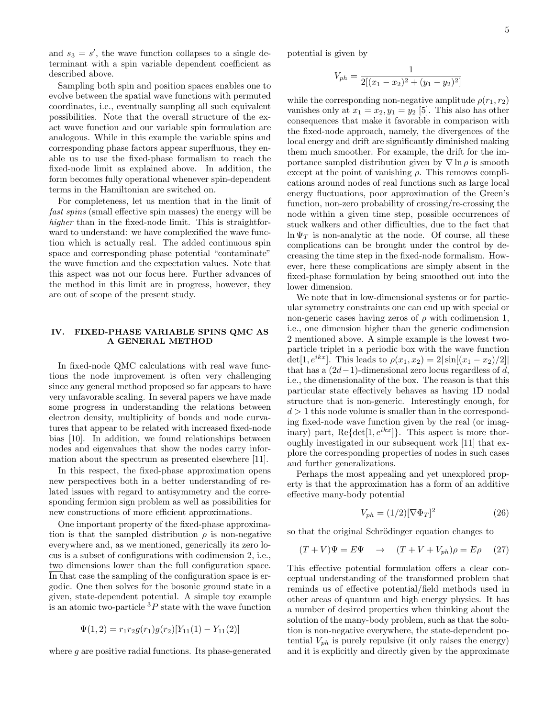and  $s_3 = s'$ , the wave function collapses to a single determinant with a spin variable dependent coefficient as described above.

Sampling both spin and position spaces enables one to evolve between the spatial wave functions with permuted coordinates, i.e., eventually sampling all such equivalent possibilities. Note that the overall structure of the exact wave function and our variable spin formulation are analogous. While in this example the variable spins and corresponding phase factors appear superfluous, they enable us to use the fixed-phase formalism to reach the fixed-node limit as explained above. In addition, the form becomes fully operational whenever spin-dependent terms in the Hamiltonian are switched on.

For completeness, let us mention that in the limit of fast spins (small effective spin masses) the energy will be higher than in the fixed-node limit. This is straightforward to understand: we have complexified the wave function which is actually real. The added continuous spin space and corresponding phase potential "contaminate" the wave function and the expectation values. Note that this aspect was not our focus here. Further advances of the method in this limit are in progress, however, they are out of scope of the present study.

#### IV. FIXED-PHASE VARIABLE SPINS QMC AS A GENERAL METHOD

In fixed-node QMC calculations with real wave functions the node improvement is often very challenging since any general method proposed so far appears to have very unfavorable scaling. In several papers we have made some progress in understanding the relations between electron density, multiplicity of bonds and node curvatures that appear to be related with increased fixed-node bias [10]. In addition, we found relationships between nodes and eigenvalues that show the nodes carry information about the spectrum as presented elsewhere [11].

In this respect, the fixed-phase approximation opens new perspectives both in a better understanding of related issues with regard to antisymmetry and the corresponding fermion sign problem as well as possibilities for new constructions of more efficient approximations.

One important property of the fixed-phase approximation is that the sampled distribution  $\rho$  is non-negative everywhere and, as we mentioned, generically its zero locus is a subset of configurations with codimension 2, i.e., two dimensions lower than the full configuration space. In that case the sampling of the configuration space is ergodic. One then solves for the bosonic ground state in a given, state-dependent potential. A simple toy example is an atomic two-particle  ${}^{3}P$  state with the wave function

$$
\Psi(1,2) = r_1 r_2 g(r_1) g(r_2) [Y_{11}(1) - Y_{11}(2)]
$$

where  $q$  are positive radial functions. Its phase-generated

potential is given by

$$
V_{ph} = \frac{1}{2[(x_1 - x_2)^2 + (y_1 - y_2)^2]}
$$

while the corresponding non-negative amplitude  $\rho(r_1, r_2)$ vanishes only at  $x_1 = x_2, y_1 = y_2$  [5]. This also has other consequences that make it favorable in comparison with the fixed-node approach, namely, the divergences of the local energy and drift are significantly diminished making them much smoother. For example, the drift for the importance sampled distribution given by  $\nabla \ln \rho$  is smooth except at the point of vanishing  $\rho$ . This removes complications around nodes of real functions such as large local energy fluctuations, poor approximation of the Green's function, non-zero probability of crossing/re-crossing the node within a given time step, possible occurrences of stuck walkers and other difficulties, due to the fact that  $\ln \Psi_T$  is non-analytic at the node. Of course, all these complications can be brought under the control by decreasing the time step in the fixed-node formalism. However, here these complications are simply absent in the fixed-phase formulation by being smoothed out into the lower dimension.

We note that in low-dimensional systems or for particular symmetry constraints one can end up with special or non-generic cases having zeros of  $\rho$  with codimension 1, i.e., one dimension higher than the generic codimension 2 mentioned above. A simple example is the lowest twoparticle triplet in a periodic box with the wave function det[1,  $e^{ikx}$ ]. This leads to  $\rho(x_1, x_2) = 2|\sin[(x_1 - x_2)/2]|$ that has a  $(2d-1)$ -dimensional zero locus regardless of d, i.e., the dimensionality of the box. The reason is that this particular state effectively behaves as having 1D nodal structure that is non-generic. Interestingly enough, for  $d > 1$  this node volume is smaller than in the corresponding fixed-node wave function given by the real (or imaginary) part,  $\text{Re}\{\text{det}[1, e^{ikx}]\}\$ . This aspect is more thoroughly investigated in our subsequent work [11] that explore the corresponding properties of nodes in such cases and further generalizations.

Perhaps the most appealing and yet unexplored property is that the approximation has a form of an additive effective many-body potential

$$
V_{ph} = (1/2)[\nabla \Phi_T]^2 \tag{26}
$$

so that the original Schrödinger equation changes to

$$
(T+V)\Psi = E\Psi \quad \rightarrow \quad (T+V+V_{ph})\rho = E\rho \quad (27)
$$

This effective potential formulation offers a clear conceptual understanding of the transformed problem that reminds us of effective potential/field methods used in other areas of quantum and high energy physics. It has a number of desired properties when thinking about the solution of the many-body problem, such as that the solution is non-negative everywhere, the state-dependent potential  $V_{ph}$  is purely repulsive (it only raises the energy) and it is explicitly and directly given by the approximate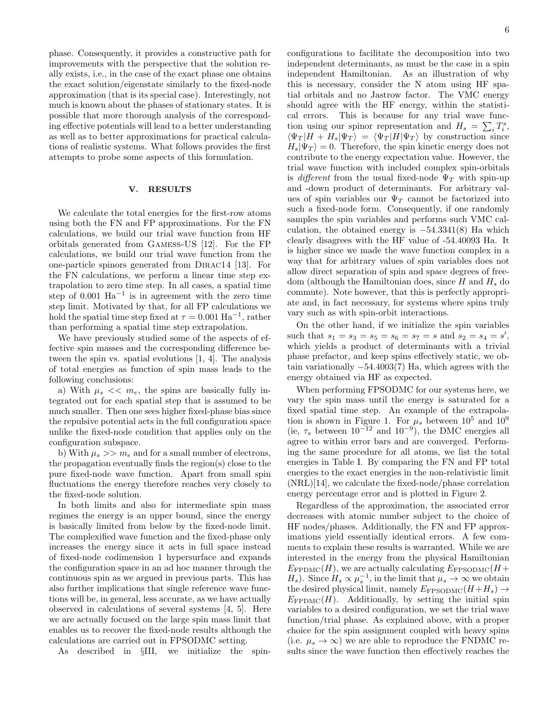phase. Consequently, it provides a constructive path for improvements with the perspective that the solution really exists, i.e., in the case of the exact phase one obtains the exact solution/eigenstate similarly to the fixed-node approximation (that is its special case). Interestingly, not much is known about the phases of stationary states. It is possible that more thorough analysis of the corresponding effective potentials will lead to a better understanding as well as to better approximations for practical calculations of realistic systems. What follows provides the first attempts to probe some aspects of this formulation.

#### V. RESULTS

We calculate the total energies for the first-row atoms using both the FN and FP approximations. For the FN calculations, we build our trial wave function from HF orbitals generated from Gamess-US [12]. For the FP calculations, we build our trial wave function from the one-particle spinors generated from Dirac14 [13]. For the FN calculations, we perform a linear time step extrapolation to zero time step. In all cases, a spatial time step of 0.001  $\text{Ha}^{-1}$  is in agreement with the zero time step limit. Motivated by that, for all FP calculations we hold the spatial time step fixed at  $\tau = 0.001 \text{ Ha}^{-1}$ , rather than performing a spatial time step extrapolation.

We have previously studied some of the aspects of effective spin masses and the corresponding difference between the spin vs. spatial evolutions [1, 4]. The analysis of total energies as function of spin mass leads to the following conclusions:

a) With  $\mu_s \ll m_e$ , the spins are basically fully integrated out for each spatial step that is assumed to be much smaller. Then one sees higher fixed-phase bias since the repulsive potential acts in the full configuration space unlike the fixed-node condition that applies only on the configuration subspace.

b) With  $\mu_s >> m_e$  and for a small number of electrons, the propagation eventually finds the region(s) close to the pure fixed-node wave function. Apart from small spin fluctuations the energy therefore reaches very closely to the fixed-node solution.

In both limits and also for intermediate spin mass regimes the energy is an upper bound, since the energy is basically limited from below by the fixed-node limit. The complexified wave function and the fixed-phase only increases the energy since it acts in full space instead of fixed-node codimension 1 hypersurface and expands the configuration space in an ad hoc manner through the continuous spin as we argued in previous parts. This has also further implications that single reference wave functions will be, in general, less accurate, as we have actually observed in calculations of several systems [4, 5]. Here we are actually focused on the large spin mass limit that enables us to recover the fixed-node results although the calculations are carried out in FPSODMC setting.

As described in §III, we initialize the spin-

configurations to facilitate the decomposition into two independent determinants, as must be the case in a spin independent Hamiltonian. As an illustration of why this is necessary, consider the N atom using HF spatial orbitals and no Jastrow factor. The VMC energy should agree with the HF energy, within the statistical errors. This is because for any trial wave function using our spinor representation and  $H_s = \sum_i T_i^s$ ,  $\langle \Psi_T | H + H_s | \Psi_T \rangle = \langle \Psi_T | H | \Psi_T \rangle$  by construction since  $H_s|\Psi_T\rangle = 0$ . Therefore, the spin kinetic energy does not contribute to the energy expectation value. However, the trial wave function with included complex spin-orbitals is different from the usual fixed-node  $\Psi_T$  with spin-up and -down product of determinants. For arbitrary values of spin variables our  $\Psi_T$  cannot be factorized into such a fixed-node form. Consequently, if one randomly samples the spin variables and performs such VMC calculation, the obtained energy is  $-54.3341(8)$  Ha which clearly disagrees with the HF value of -54.40093 Ha. It is higher since we made the wave function complex in a way that for arbitrary values of spin variables does not allow direct separation of spin and space degrees of freedom (although the Hamiltonian does, since H and  $H_s$  do commute). Note however, that this is perfectly appropriate and, in fact necessary, for systems where spins truly vary such as with spin-orbit interactions.

On the other hand, if we initialize the spin variables such that  $s_1 = s_3 = s_5 = s_6 = s_7 = s$  and  $s_2 = s_4 = s'$ , which yields a product of determinants with a trivial phase prefactor, and keep spins effectively static, we obtain variationally  $-54.4003(7)$  Ha, which agrees with the energy obtained via HF as expected.

When performing FPSODMC for our systems here, we vary the spin mass until the energy is saturated for a fixed spatial time step. An example of the extrapolation is shown in Figure 1. For  $\mu_s$  between  $10^5$  and  $10^9$ (ie,  $\tau_s$  between  $10^{-12}$  and  $10^{-9}$ ), the DMC energies all agree to within error bars and are converged. Performing the same procedure for all atoms, we list the total energies in Table I. By comparing the FN and FP total energies to the exact energies in the non-relativistic limit (NRL)[14], we calculate the fixed-node/phase correlation energy percentage error and is plotted in Figure 2.

Regardless of the approximation, the associated error decreases with atomic number subject to the choice of HF nodes/phases. Additionally, the FN and FP approximations yield essentially identical errors. A few comments to explain these results is warranted. While we are interested in the energy from the physical Hamiltonian  $E_{\text{FPDMC}}(H)$ , we are actually calculating  $E_{\text{FPSODMC}}(H +$  $H_s$ ). Since  $H_s \propto \mu_s^{-1}$ , in the limit that  $\mu_s \to \infty$  we obtain the desired physical limit, namely  $E_{\text{FFSODMC}}(H+H_s) \rightarrow$  $E_{\text{FPDMC}}(H)$ . Additionally, by setting the initial spin variables to a desired configuration, we set the trial wave function/trial phase. As explained above, with a proper choice for the spin assignment coupled with heavy spins (i.e.  $\mu_s \to \infty$ ) we are able to reproduce the FNDMC results since the wave function then effectively reaches the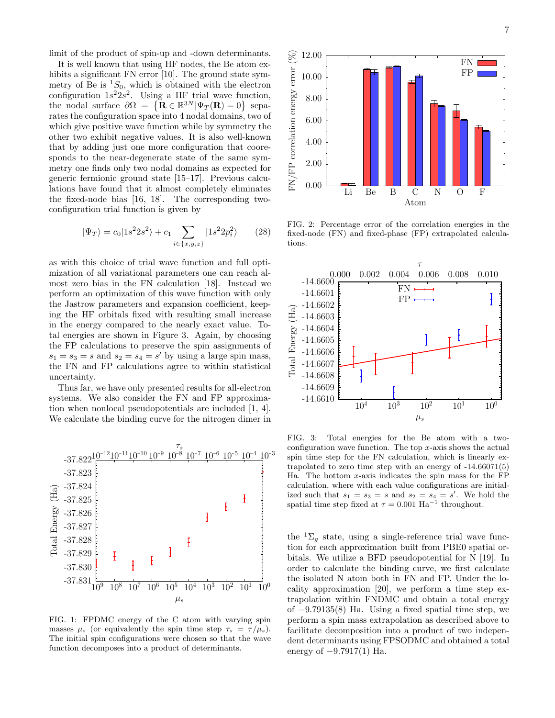It is well known that using HF nodes, the Be atom exhibits a significant FN error [10]. The ground state symmetry of Be is  ${}^{1}S_0$ , which is obtained with the electron configuration  $1s^22s^2$ . Using a HF trial wave function, the nodal surface  $\partial \Omega = {\{\mathbf{R} \in \mathbb{R}^{3N} | \Psi_T(\mathbf{R}) = 0\}}$  separates the configuration space into 4 nodal domains, two of which give positive wave function while by symmetry the other two exhibit negative values. It is also well-known that by adding just one more configuration that cooresponds to the near-degenerate state of the same symmetry one finds only two nodal domains as expected for generic fermionic ground state [15–17]. Previous calculations have found that it almost completely eliminates the fixed-node bias [16, 18]. The corresponding twoconfiguration trial function is given by

$$
|\Psi_T\rangle = c_0|1s^22s^2\rangle + c_1 \sum_{i \in \{x,y,z\}} |1s^22p_i^2\rangle \qquad (28)
$$

as with this choice of trial wave function and full optimization of all variational parameters one can reach almost zero bias in the FN calculation [18]. Instead we perform an optimization of this wave function with only the Jastrow parameters and expansion coefficient, keeping the HF orbitals fixed with resulting small increase in the energy compared to the nearly exact value. Total energies are shown in Figure 3. Again, by choosing the FP calculations to preserve the spin assignments of  $s_1 = s_3 = s$  and  $s_2 = s_4 = s'$  by using a large spin mass, the FN and FP calculations agree to within statistical uncertainty.

Thus far, we have only presented results for all-electron systems. We also consider the FN and FP approximation when nonlocal pseudopotentials are included [1, 4]. We calculate the binding curve for the nitrogen dimer in



FIG. 1: FPDMC energy of the C atom with varying spin masses  $\mu_s$  (or equivalently the spin time step  $\tau_s = \tau/\mu_s$ ). The initial spin configurations were chosen so that the wave function decomposes into a product of determinants.



Li Be B C N O F

Atom

FIG. 2: Percentage error of the correlation energies in the fixed-node (FN) and fixed-phase (FP) extrapolated calculations.

0.00

2.00

4.00

6.00

FN/FP correlation energy error  $(\%$ 

 $\mathrm{FN}/\mathrm{FP}$  correlation energy error

 $(\%)$ 

8.00

10.00

12.00



FIG. 3: Total energies for the Be atom with a twoconfiguration wave function. The top  $x$ -axis shows the actual spin time step for the FN calculation, which is linearly extrapolated to zero time step with an energy of  $-14.66071(5)$ Ha. The bottom  $x$ -axis indicates the spin mass for the FP calculation, where with each value configurations are initialized such that  $s_1 = s_3 = s$  and  $s_2 = s_4 = s'$ . We hold the spatial time step fixed at  $\tau = 0.001$  Ha<sup>-1</sup> throughout.

the  ${}^{1}\Sigma_{g}$  state, using a single-reference trial wave function for each approximation built from PBE0 spatial orbitals. We utilize a BFD pseudopotential for N [19]. In order to calculate the binding curve, we first calculate the isolated N atom both in FN and FP. Under the locality approximation [20], we perform a time step extrapolation within FNDMC and obtain a total energy of −9.79135(8) Ha. Using a fixed spatial time step, we perform a spin mass extrapolation as described above to facilitate decomposition into a product of two independent determinants using FPSODMC and obtained a total energy of  $-9.7917(1)$  Ha.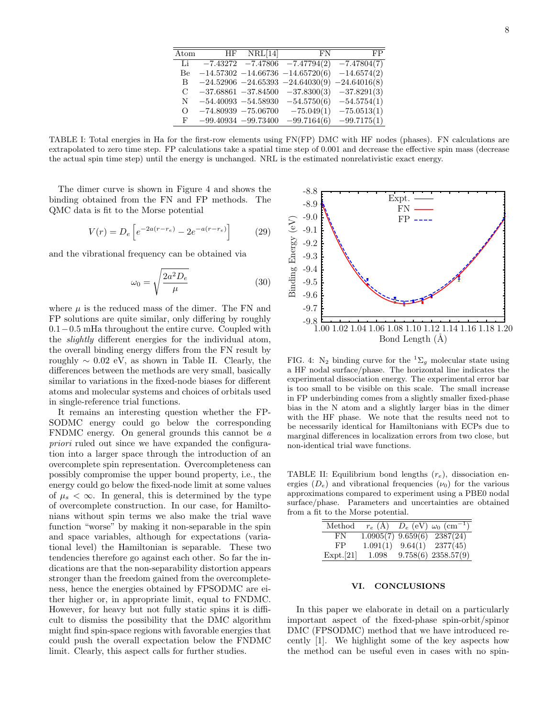| Atom     | HF                     | NRL[14] | FN                                  | FP             |
|----------|------------------------|---------|-------------------------------------|----------------|
| – Li     |                        |         | $-7.43272$ $-7.47806$ $-7.47794(2)$ | $-7.47804(7)$  |
| Be       |                        |         | $-14.57302 -14.66736 -14.65720(6)$  | $-14.6574(2)$  |
| B        |                        |         | $-24.52906 -24.65393 -24.64030(9)$  | $-24.64016(8)$ |
| C        |                        |         | $-37.68861 - 37.84500 - 37.8300(3)$ | $-37.8291(3)$  |
| N        | $-54.40093 - 54.58930$ |         | $-54.5750(6)$                       | $-54.5754(1)$  |
| $\Omega$ | $-74.80939 - 75.06700$ |         | $-75.049(1)$                        | $-75.0513(1)$  |
| F        | $-99.40934 - 99.73400$ |         | $-99.7164(6)$                       | $-99.7175(1)$  |

TABLE I: Total energies in Ha for the first-row elements using FN(FP) DMC with HF nodes (phases). FN calculations are extrapolated to zero time step. FP calculations take a spatial time step of 0.001 and decrease the effective spin mass (decrease the actual spin time step) until the energy is unchanged. NRL is the estimated nonrelativistic exact energy.

The dimer curve is shown in Figure 4 and shows the binding obtained from the FN and FP methods. The QMC data is fit to the Morse potential

$$
V(r) = D_e \left[ e^{-2a(r - r_e)} - 2e^{-a(r - r_e)} \right]
$$
 (29)

and the vibrational frequency can be obtained via

$$
\omega_0 = \sqrt{\frac{2a^2 D_e}{\mu}}\tag{30}
$$

where  $\mu$  is the reduced mass of the dimer. The FN and FP solutions are quite similar, only differing by roughly 0.1−0.5 mHa throughout the entire curve. Coupled with the slightly different energies for the individual atom, the overall binding energy differs from the FN result by roughly  $\sim 0.02$  eV, as shown in Table II. Clearly, the differences between the methods are very small, basically similar to variations in the fixed-node biases for different atoms and molecular systems and choices of orbitals used in single-reference trial functions.

It remains an interesting question whether the FP-SODMC energy could go below the corresponding FNDMC energy. On general grounds this cannot be a priori ruled out since we have expanded the configuration into a larger space through the introduction of an overcomplete spin representation. Overcompleteness can possibly compromise the upper bound property, i.e., the energy could go below the fixed-node limit at some values of  $\mu_s < \infty$ . In general, this is determined by the type of overcomplete construction. In our case, for Hamiltonians without spin terms we also make the trial wave function "worse" by making it non-separable in the spin and space variables, although for expectations (variational level) the Hamiltonian is separable. These two tendencies therefore go against each other. So far the indications are that the non-separability distortion appears stronger than the freedom gained from the overcompleteness, hence the energies obtained by FPSODMC are either higher or, in appropriate limit, equal to FNDMC. However, for heavy but not fully static spins it is difficult to dismiss the possibility that the DMC algorithm might find spin-space regions with favorable energies that could push the overall expectation below the FNDMC limit. Clearly, this aspect calls for further studies.



FIG. 4: N<sub>2</sub> binding curve for the  ${}^{1}\Sigma_{g}$  molecular state using a HF nodal surface/phase. The horizontal line indicates the experimental dissociation energy. The experimental error bar is too small to be visible on this scale. The small increase in FP underbinding comes from a slightly smaller fixed-phase bias in the N atom and a slightly larger bias in the dimer with the HF phase. We note that the results need not to be necessarily identical for Hamiltonians with ECPs due to marginal differences in localization errors from two close, but non-identical trial wave functions.

TABLE II: Equilibrium bond lengths  $(r_e)$ , dissociation energies  $(D_e)$  and vibrational frequencies  $(\nu_0)$  for the various approximations compared to experiment using a PBE0 nodal surface/phase. Parameters and uncertainties are obtained from a fit to the Morse potential.

| Method    | $r_e$ (Å)            |         | $D_e$ (eV) $\omega_0$ (cm <sup>-1</sup> ) |
|-----------|----------------------|---------|-------------------------------------------|
| FN.       | $1.0905(7)$ 9.659(6) |         | 2387(24)                                  |
| FP        | 1.091(1)             | 9.64(1) | 2377(45)                                  |
| Expt.[21] | 1.098                |         | $9.758(6)$ 2358.57(9)                     |

#### VI. CONCLUSIONS

In this paper we elaborate in detail on a particularly important aspect of the fixed-phase spin-orbit/spinor DMC (FPSODMC) method that we have introduced recently [1]. We highlight some of the key aspects how the method can be useful even in cases with no spin